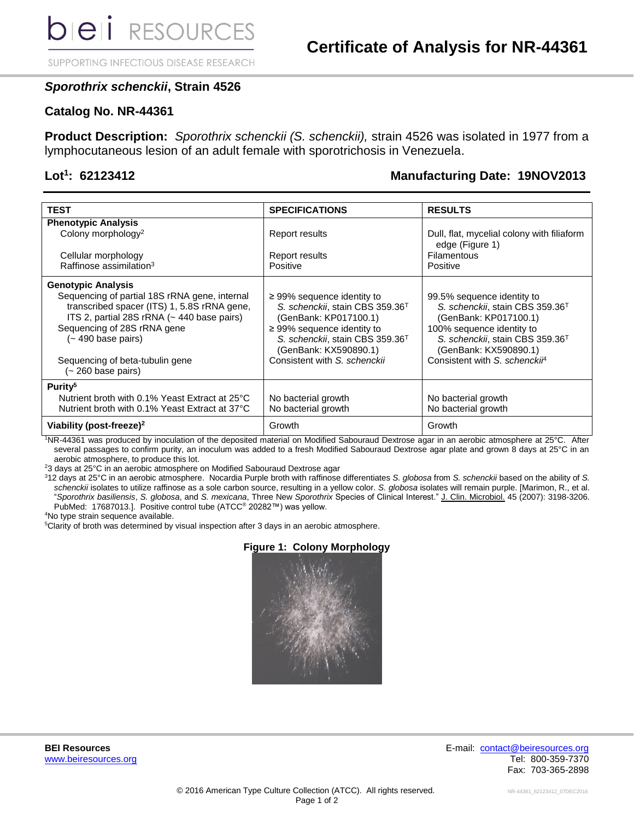SUPPORTING INFECTIOUS DISEASE RESEARCH

# *Sporothrix schenckii***, Strain 4526**

### **Catalog No. NR-44361**

**Product Description:** *Sporothrix schenckii (S. schenckii),* strain 4526 was isolated in 1977 from a lymphocutaneous lesion of an adult female with sporotrichosis in Venezuela.

### Lot<sup>1</sup>: 62123412

# **: 62123412 Manufacturing Date: 19NOV2013**

| <b>TEST</b>                                                                                                                                                                                     | <b>SPECIFICATIONS</b>                                                                                                                                                                                              | <b>RESULTS</b>                                                                                                                                                                                          |
|-------------------------------------------------------------------------------------------------------------------------------------------------------------------------------------------------|--------------------------------------------------------------------------------------------------------------------------------------------------------------------------------------------------------------------|---------------------------------------------------------------------------------------------------------------------------------------------------------------------------------------------------------|
| <b>Phenotypic Analysis</b>                                                                                                                                                                      |                                                                                                                                                                                                                    |                                                                                                                                                                                                         |
| Colony morphology <sup>2</sup>                                                                                                                                                                  | <b>Report results</b>                                                                                                                                                                                              | Dull, flat, mycelial colony with filiaform<br>edge (Figure 1)                                                                                                                                           |
| Cellular morphology                                                                                                                                                                             | <b>Report results</b>                                                                                                                                                                                              | Filamentous                                                                                                                                                                                             |
| Raffinose assimilation <sup>3</sup>                                                                                                                                                             | Positive                                                                                                                                                                                                           | Positive                                                                                                                                                                                                |
| <b>Genotypic Analysis</b>                                                                                                                                                                       |                                                                                                                                                                                                                    |                                                                                                                                                                                                         |
| Sequencing of partial 18S rRNA gene, internal<br>transcribed spacer (ITS) 1, 5.8S rRNA gene,<br>ITS 2, partial 28S rRNA (~ 440 base pairs)<br>Sequencing of 28S rRNA gene<br>(~ 490 base pairs) | $\geq$ 99% sequence identity to<br>S. schenckii, stain CBS 359.36 <sup>T</sup><br>(GenBank: KP017100.1)<br>$\geq$ 99% sequence identity to<br>S. schenckii, stain CBS 359.36 <sup>T</sup><br>(GenBank: KX590890.1) | 99.5% sequence identity to<br>S. schenckii, stain CBS 359.36 <sup>T</sup><br>(GenBank: KP017100.1)<br>100% sequence identity to<br>S. schenckii, stain CBS 359.36 <sup>T</sup><br>(GenBank: KX590890.1) |
| Sequencing of beta-tubulin gene<br>(~ 260 base pairs)                                                                                                                                           | Consistent with S. schenckii                                                                                                                                                                                       | Consistent with S. schencki <sup>4</sup>                                                                                                                                                                |
| Purity <sup>5</sup>                                                                                                                                                                             |                                                                                                                                                                                                                    |                                                                                                                                                                                                         |
| Nutrient broth with 0.1% Yeast Extract at 25°C                                                                                                                                                  | No bacterial growth                                                                                                                                                                                                | No bacterial growth                                                                                                                                                                                     |
| Nutrient broth with 0.1% Yeast Extract at 37°C                                                                                                                                                  | No bacterial growth                                                                                                                                                                                                | No bacterial growth                                                                                                                                                                                     |
| Viability (post-freeze) <sup>2</sup>                                                                                                                                                            | Growth                                                                                                                                                                                                             | Growth                                                                                                                                                                                                  |

<sup>1</sup>NR-44361 was produced by inoculation of the deposited material on Modified Sabouraud Dextrose agar in an aerobic atmosphere at 25°C. After several passages to confirm purity, an inoculum was added to a fresh Modified Sabouraud Dextrose agar plate and grown 8 days at 25°C in an aerobic atmosphere, to produce this lot.

<sup>2</sup>3 days at 25°C in an aerobic atmosphere on Modified Sabouraud Dextrose agar

<sup>3</sup>12 days at 25°C in an aerobic atmosphere. Nocardia Purple broth with raffinose differentiates *S. globosa* from *S. schenckii* based on the ability of *S. schenckii* isolates to utilize raffinose as a sole carbon source, resulting in a yellow color. *S. globosa* isolates will remain purple. [Marimon, R., et al. "*Sporothrix basiliensis*, *S. globosa*, and *S. mexicana*, Three New *Sporothrix* Species of Clinical Interest." J. Clin. Microbiol. 45 (2007): 3198-3206. PubMed: 17687013.]. Positive control tube (ATCC® 20282™) was yellow.

<sup>4</sup>No type strain sequence available.

<sup>5</sup>Clarity of broth was determined by visual inspection after 3 days in an aerobic atmosphere.



**Figure 1: Colony Morphology**

**BEI Resources** E-mail: [contact@beiresources.org](mailto:contact@beiresources.org) [www.beiresources.org](http://www.beiresources.org/) **Tel: 800-359-7370** Fax: 703-365-2898